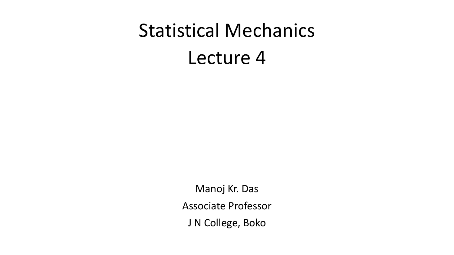# Statistical Mechanics Lecture 4

Manoj Kr. Das Associate Professor J N College, Boko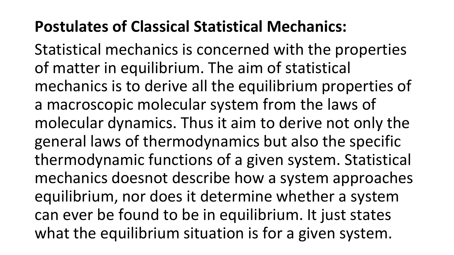# **Postulates of Classical Statistical Mechanics:**

Statistical mechanics is concerned with the properties of matter in equilibrium. The aim of statistical mechanics is to derive all the equilibrium properties of a macroscopic molecular system from the laws of molecular dynamics. Thus it aim to derive not only the general laws of thermodynamics but also the specific thermodynamic functions of a given system. Statistical mechanics doesnot describe how a system approaches equilibrium, nor does it determine whether a system can ever be found to be in equilibrium. It just states what the equilibrium situation is for a given system.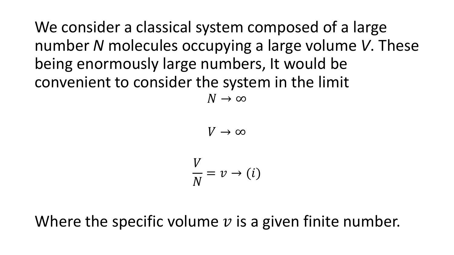We consider a classical system composed of a large number *N* molecules occupying a large volume *V*. These being enormously large numbers, It would be convenient to consider the system in the limit  $N \rightarrow \infty$ 

 $V \rightarrow \infty$ 

$$
\frac{V}{N} = v \rightarrow (i)
$$

Where the specific volume  $\nu$  is a given finite number.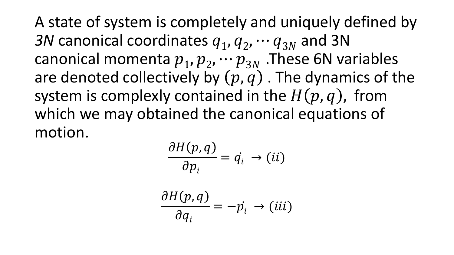A state of system is completely and uniquely defined by 3N canonical coordinates  $q_1, q_2, \cdots q_{3N}$  and 3N canonical momenta  $p_1, p_2, \cdots p_{3N}$  . These 6N variables are denoted collectively by  $(p, q)$ . The dynamics of the system is complexly contained in the  $H(p, q)$ , from which we may obtained the canonical equations of motion.

$$
\frac{\partial H(p,q)}{\partial p_i} = \dot{q_i} \rightarrow (ii)
$$

$$
\frac{\partial H(p,q)}{\partial q_i} = -\dot{p_i} \rightarrow (iii)
$$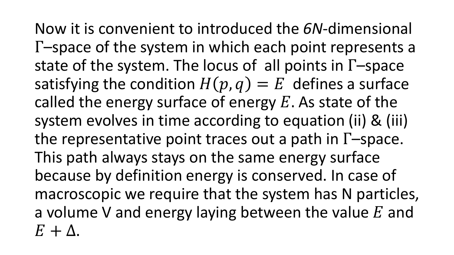Now it is convenient to introduced the *6N*-dimensional Γ–space of the system in which each point represents a state of the system. The locus of all points in Γ–space satisfying the condition  $H(p, q) = E$  defines a surface called the energy surface of energy  $E$ . As state of the system evolves in time according to equation (ii) & (iii) the representative point traces out a path in Γ–space. This path always stays on the same energy surface because by definition energy is conserved. In case of macroscopic we require that the system has N particles, a volume V and energy laying between the value  $E$  and  $E + \Delta$ .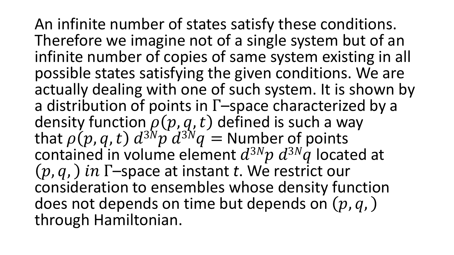An infinite number of states satisfy these conditions. Therefore we imagine not of a single system but of an infinite number of copies of same system existing in all possible states satisfying the given conditions. We are actually dealing with one of such system. It is shown by a distribution of points in Γ–space characterized by a density function  $\rho(p,q,t)$  defined is such a way that  $\rho(p,q,t)$   $d^{3N}p^d d^{3N}q =$  Number of points contained in volume element  $d^{3N}p d^{3N}q$  located at  $(p, q, )$  in  $\Gamma$ -space at instant *t*. We restrict our consideration to ensembles whose density function does not depends on time but depends on  $(p, q, )$ through Hamiltonian.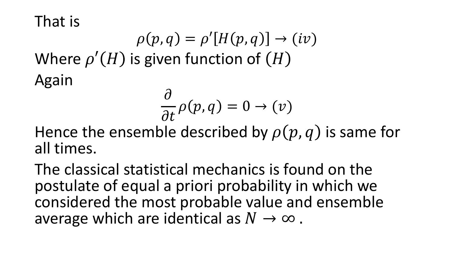That is

 $\rho(p,q) = \rho'[H(p,q)] \rightarrow (iv)$ Where  $\rho'(H)$  is given function of  $(H)$ Again

$$
\frac{\partial}{\partial t}\rho(p,q)=0\to(v)
$$

Hence the ensemble described by  $\rho(p, q)$  is same for all times.

The classical statistical mechanics is found on the postulate of equal a priori probability in which we considered the most probable value and ensemble average which are identical as  $N \to \infty$ .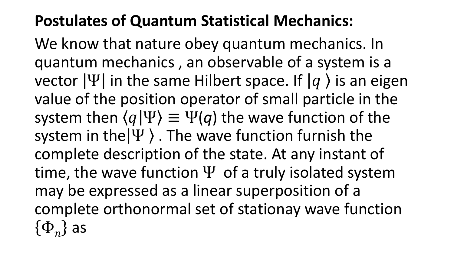## **Postulates of Quantum Statistical Mechanics:**

We know that nature obey quantum mechanics. In quantum mechanics , an observable of a system is a vector  $|\Psi|$  in the same Hilbert space. If  $|q\rangle$  is an eigen value of the position operator of small particle in the system then  $\langle q|\Psi\rangle \equiv \Psi(q)$  the wave function of the system in the $|\Psi\rangle$ . The wave function furnish the complete description of the state. At any instant of time, the wave function  $\Psi$  of a truly isolated system may be expressed as a linear superposition of a complete orthonormal set of stationay wave function  $\{\Phi_n\}$  as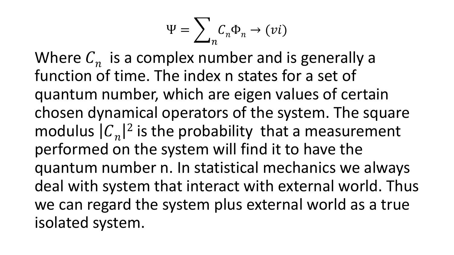$$
\Psi = \sum_{n} C_{n} \Phi_{n} \to (vi)
$$

Where  $C_n$  is a complex number and is generally a function of time. The index n states for a set of quantum number, which are eigen values of certain chosen dynamical operators of the system. The square modulus  $|C_n|$  $2$  is the probability that a measurement performed on the system will find it to have the quantum number n. In statistical mechanics we always deal with system that interact with external world. Thus we can regard the system plus external world as a true isolated system.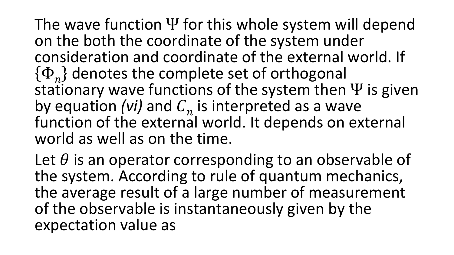The wave function  $\Psi$  for this whole system will depend on the both the coordinate of the system under consideration and coordinate of the external world. If  $\{\Phi_n\}$  denotes the complete set of orthogonal stationary wave functions of the system then  $\Psi$  is given by equation *(vi)* and  $C_n$  is interpreted as a wave function of the external world. It depends on external world as well as on the time.

Let  $\theta$  is an operator corresponding to an observable of the system. According to rule of quantum mechanics, the average result of a large number of measurement of the observable is instantaneously given by the expectation value as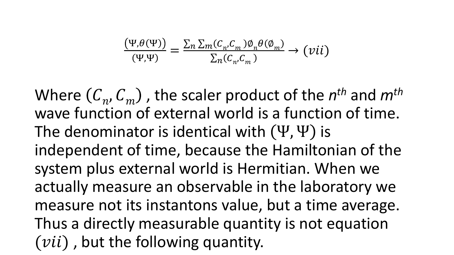$$
\frac{(\Psi, \theta(\Psi))}{(\Psi, \Psi)} = \frac{\sum_{n} \sum_{m} (C_{n}, C_{m}) \emptyset_{n} \theta(\emptyset_{m})}{\sum_{n} (C_{n}, C_{m})} \rightarrow (vii)
$$

Where  $(C_n, C_m)$  , the scaler product of the  $n^{th}$  and  $m^{th}$ wave function of external world is a function of time. The denominator is identical with  $(\Psi, \Psi)$  is independent of time, because the Hamiltonian of the system plus external world is Hermitian. When we actually measure an observable in the laboratory we measure not its instantons value, but a time average. Thus a directly measurable quantity is not equation  $(vii)$ , but the following quantity.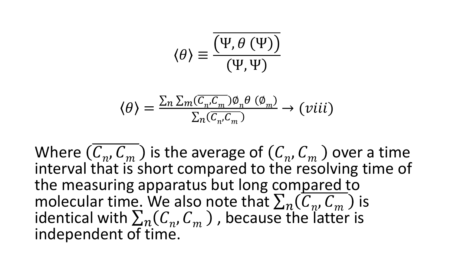$$
\langle \theta \rangle \equiv \frac{\overline{\left(\Psi, \theta\left(\Psi\right)\right)}}{\left(\Psi, \Psi\right)}
$$

$$
\langle \theta \rangle = \frac{\sum_{n} \sum_{m} (\overline{C_{n'} C_{m}}) \emptyset_{n} \theta (\emptyset_{m})}{\sum_{n} (\overline{C_{n'} C_{m}})} \rightarrow (viii)
$$

Where  $(\overline{C_n}, \overline{C_m})$  is the average of  $(C_n, C_m)$  over a time interval that is short compared to the resolving time of the measuring apparatus but long compared to molecular time. We also note that  $\sum_{n}$   $(\overline{C_n}, \overline{C_m})$  is identical with  $\sum_{n}$  ( $C_{n}$ ,  $C_{m}$ ), because the latter is independent of time.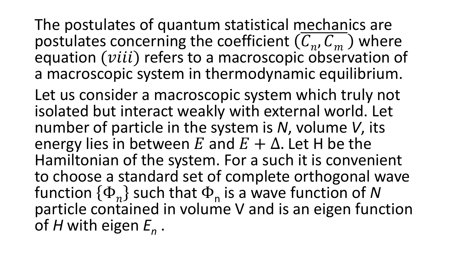The postulates of quantum statistical mechanics are postulates concerning the coefficient  $(C_n, C_m)$  where equation  $(viii)$  refers to a macroscopic observation of a macroscopic system in thermodynamic equilibrium.

Let us consider a macroscopic system which truly not isolated but interact weakly with external world. Let number of particle in the system is *N*, volume *V*, its energy lies in between E and  $E + \Delta$ . Let H be the Hamiltonian of the system. For a such it is convenient to choose a standard set of complete orthogonal wave function  $\{\Phi_n\}$  such that  $\Phi_n$  is a wave function of N particle contained in volume V and is an eigen function of *H* with eigen *E<sup>n</sup>* .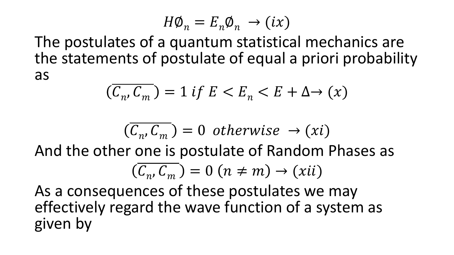$$
H\phi_n = E_n \phi_n \to (ix)
$$

The postulates of a quantum statistical mechanics are the statements of postulate of equal a priori probability as

$$
(\overline{C_n, C_m}) = 1 \text{ if } E < E_n < E + \Delta \rightarrow (x)
$$

$$
(\overline{C_n}, \overline{C_m}) = 0 \ otherwise \rightarrow (xi)
$$

And the other one is postulate of Random Phases as

$$
(\overline{C_n}, \overline{C_m}) = 0 \ (n \neq m) \rightarrow (xii)
$$

As a consequences of these postulates we may effectively regard the wave function of a system as given by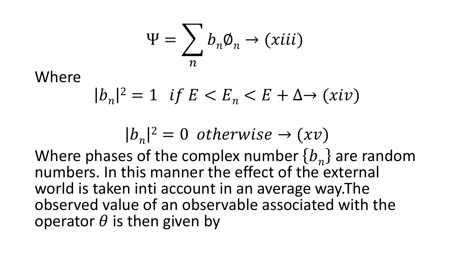$$
\Psi = \sum_{n} b_{n} \phi_{n} \rightarrow (xiii)
$$

Where

$$
|b_n|^2 = 1 \quad \text{if } E < E_n < E + \Delta \to (xiv)
$$

$$
|b_n|^2 = 0 \text{ otherwise } \rightarrow (xv)
$$

Where phases of the complex number  ${b_n}$  are random numbers. In this manner the effect of the external world is taken inti account in an average way.The observed value of an observable associated with the operator  $\theta$  is then given by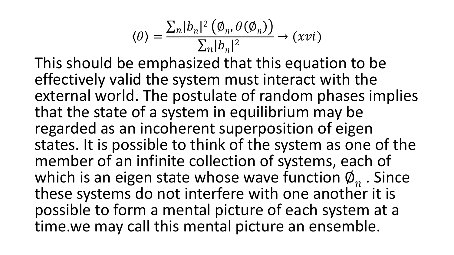$$
\langle \theta \rangle = \frac{\sum_{n} |b_n|^2 (\phi_n, \theta(\phi_n))}{\sum_{n} |b_n|^2} \to (xvi)
$$

This should be emphasized that this equation to be effectively valid the system must interact with the external world. The postulate of random phases implies that the state of a system in equilibrium may be regarded as an incoherent superposition of eigen states. It is possible to think of the system as one of the member of an infinite collection of systems, each of which is an eigen state whose wave function  $\varphi_n$ . Since these systems do not interfere with one another it is possible to form a mental picture of each system at a time.we may call this mental picture an ensemble.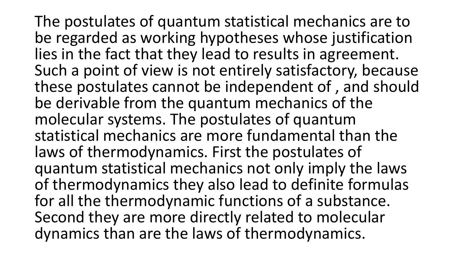The postulates of quantum statistical mechanics are to be regarded as working hypotheses whose justification lies in the fact that they lead to results in agreement. Such a point of view is not entirely satisfactory, because these postulates cannot be independent of , and should be derivable from the quantum mechanics of the molecular systems. The postulates of quantum statistical mechanics are more fundamental than the laws of thermodynamics. First the postulates of quantum statistical mechanics not only imply the laws of thermodynamics they also lead to definite formulas for all the thermodynamic functions of a substance. Second they are more directly related to molecular dynamics than are the laws of thermodynamics.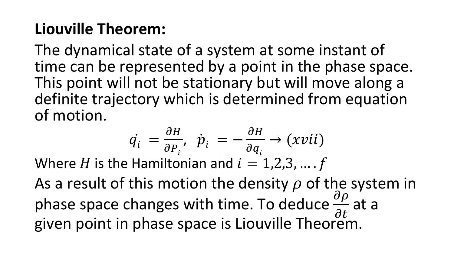# **Liouville Theorem:**

The dynamical state of a system at some instant of time can be represented by a point in the phase space. This point will not be stationary but will move along a definite trajectory which is determined from equation of motion.

$$
\dot{q_i} = \frac{\partial H}{\partial P_i}, \quad \dot{p}_i = -\frac{\partial H}{\partial q_i} \rightarrow (xvii)
$$

Where H is the Hamiltonian and  $i = 1,2,3, \dots$ .

As a result of this motion the density  $\rho$  of the system in phase space changes with time. To deduce  $\frac{\partial \rho}{\partial t}$  $\partial t$ at a given point in phase space is Liouville Theorem.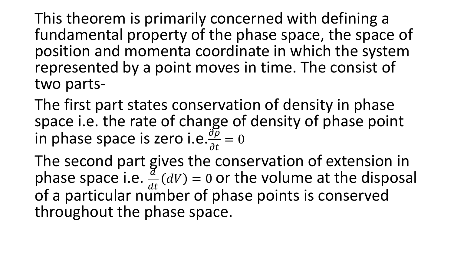This theorem is primarily concerned with defining a fundamental property of the phase space, the space of position and momenta coordinate in which the system represented by a point moves in time. The consist of two parts-

The first part states conservation of density in phase space i.e. the rate of change of density of phase point in phase space is zero i.e. $\frac{\partial \overline{\rho}}{\partial t}$  $\partial t$  $= 0$ 

The second part gives the conservation of extension in phase space i.e.  $\frac{d}{dt}$  $dt$  $dV$ ) = 0 or the volume at the disposal of a particular number of phase points is conserved throughout the phase space.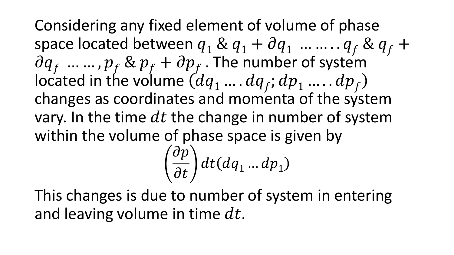Considering any fixed element of volume of phase space located between  $q_1 \& q_1 + \partial q_1$  … … . .  $q_f \& q_f + \partial q_f$  $\partial q_{f}$  ... ... ,  $p_{f}$  &  $p_{f}$  +  $\partial p_{f}$  . The number of system located in the volume  $(d q_1 \ldots dq_f; dp_1 \ldots dp_f)$ changes as coordinates and momenta of the system vary. In the time  $dt$  the change in number of system within the volume of phase space is given by  $\partial p$  $\partial t$  $dt(dq_1...dp_1)$ 

This changes is due to number of system in entering and leaving volume in time  $dt$ .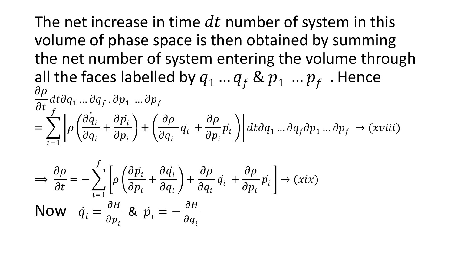The net increase in time  $dt$  number of system in this volume of phase space is then obtained by summing the net number of system entering the volume through all the faces labelled by  $q_1... q_f \& p_1... p_f$ . Hence  $\partial \rho$  $\partial t$  $dt\partial q_1\,...\,\partial q_f$  .  $\partial p_1\,...\,\partial p_f$  $=$   $\sum$  $i=1$  $\int$  $\rho$  $\dot{\partial q}_i$  $\partial q_i$  $+$  $\partial \dot{p_{i}}$  $\partial p_i^{\phantom{\dagger}}$  $+$  $\partial \rho$  $\partial q_i$  $\dot{q_i}$  +  $\partial \rho$  $\partial p_i^{\phantom{\dagger}}$  $\dot{p}_i^*$  || dt∂ $q_1^{}...$ ∂ $q_f^{}$ д $p_1^{}...$ д $p_f^{} \rightarrow (xviii)$ 

$$
\Rightarrow \frac{\partial \rho}{\partial t} = -\sum_{i=1}^{f} \left[ \rho \left( \frac{\partial \dot{p}_i}{\partial p_i} + \frac{\partial \dot{q}_i}{\partial q_i} \right) + \frac{\partial \rho}{\partial q_i} \dot{q}_i + \frac{\partial \rho}{\partial p_i} \dot{p}_i \right] \rightarrow (xix)
$$
  
Now  $\dot{q}_i = \frac{\partial H}{\partial p_i}$  &  $\dot{p}_i = -\frac{\partial H}{\partial q_i}$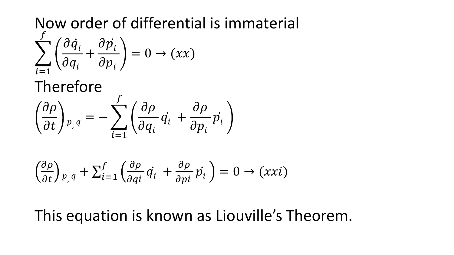#### Now order of differential is immaterial  $\sum$  $i=1$  $\overline{f}$  $\partial\dot{q}_i$  $\partial q_i$  $+$  $\partial \dot{p_{i}}$  $\partial p_i$  $= 0 \rightarrow (xx)$

Therefore

$$
\left(\frac{\partial \rho}{\partial t}\right)_{p,q} = -\sum_{i=1}^f \left(\frac{\partial \rho}{\partial q_i} \dot{q_i} + \frac{\partial \rho}{\partial p_i} \dot{p_i}\right)
$$

$$
\left(\frac{\partial \rho}{\partial t}\right)_{p,q} + \sum_{i=1}^{f} \left(\frac{\partial \rho}{\partial qi} \dot{q}_i + \frac{\partial \rho}{\partial pi} \dot{p}_i\right) = 0 \to (xxi)
$$

## This equation is known as Liouville's Theorem.